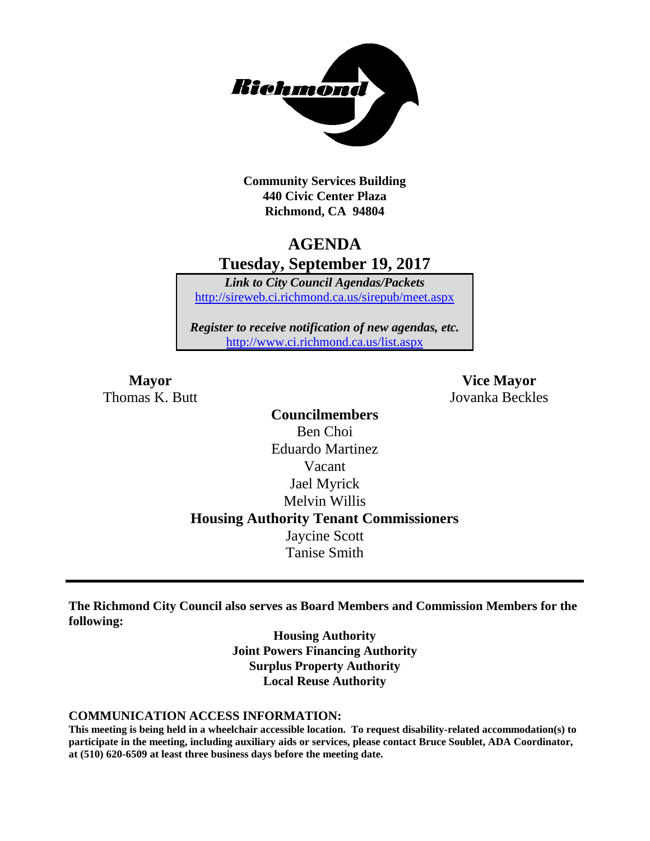

**Community Services Building 440 Civic Center Plaza Richmond, CA 94804**

## **AGENDA Tuesday, September 19, 2017**

*Link to City Council Agendas/Packets* <http://sireweb.ci.richmond.ca.us/sirepub/meet.aspx>

*Register to receive notification of new agendas, etc.* <http://www.ci.richmond.ca.us/list.aspx>

Thomas K. Butt Jovanka Beckles

**Mayor Vice Mayor**

**Councilmembers** Ben Choi Eduardo Martinez Vacant Jael Myrick Melvin Willis **Housing Authority Tenant Commissioners** Jaycine Scott Tanise Smith

**The Richmond City Council also serves as Board Members and Commission Members for the following:**

> **Housing Authority Joint Powers Financing Authority Surplus Property Authority Local Reuse Authority**

#### **COMMUNICATION ACCESS INFORMATION:**

**This meeting is being held in a wheelchair accessible location. To request disability-related accommodation(s) to participate in the meeting, including auxiliary aids or services, please contact Bruce Soublet, ADA Coordinator, at (510) 620-6509 at least three business days before the meeting date.**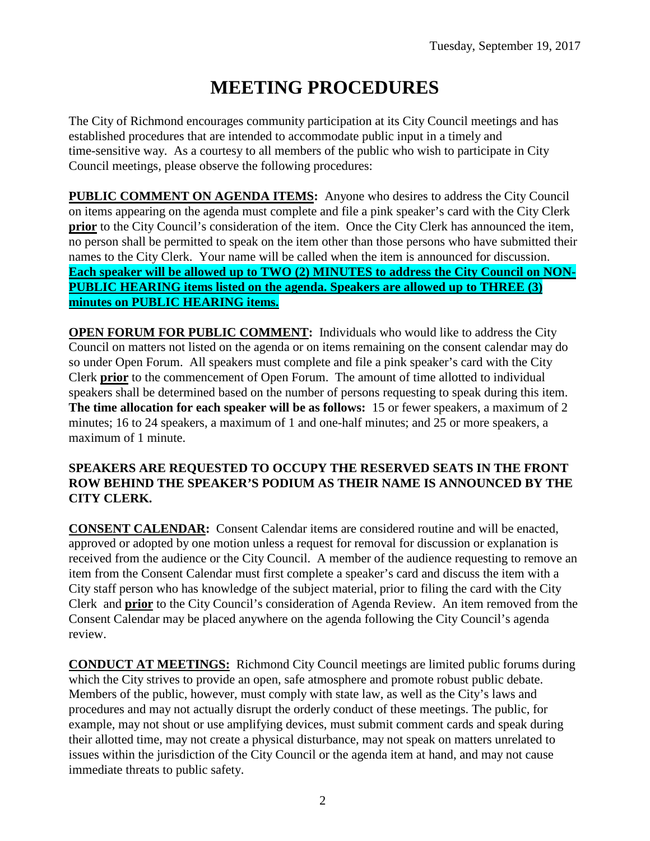# **MEETING PROCEDURES**

The City of Richmond encourages community participation at its City Council meetings and has established procedures that are intended to accommodate public input in a timely and time-sensitive way. As a courtesy to all members of the public who wish to participate in City Council meetings, please observe the following procedures:

**PUBLIC COMMENT ON AGENDA ITEMS:** Anyone who desires to address the City Council on items appearing on the agenda must complete and file a pink speaker's card with the City Clerk **prior** to the City Council's consideration of the item. Once the City Clerk has announced the item, no person shall be permitted to speak on the item other than those persons who have submitted their names to the City Clerk. Your name will be called when the item is announced for discussion. **Each speaker will be allowed up to TWO (2) MINUTES to address the City Council on NON-PUBLIC HEARING items listed on the agenda. Speakers are allowed up to THREE (3) minutes on PUBLIC HEARING items.**

**OPEN FORUM FOR PUBLIC COMMENT:** Individuals who would like to address the City Council on matters not listed on the agenda or on items remaining on the consent calendar may do so under Open Forum. All speakers must complete and file a pink speaker's card with the City Clerk **prior** to the commencement of Open Forum. The amount of time allotted to individual speakers shall be determined based on the number of persons requesting to speak during this item. **The time allocation for each speaker will be as follows:** 15 or fewer speakers, a maximum of 2 minutes; 16 to 24 speakers, a maximum of 1 and one-half minutes; and 25 or more speakers, a maximum of 1 minute.

#### **SPEAKERS ARE REQUESTED TO OCCUPY THE RESERVED SEATS IN THE FRONT ROW BEHIND THE SPEAKER'S PODIUM AS THEIR NAME IS ANNOUNCED BY THE CITY CLERK.**

**CONSENT CALENDAR:** Consent Calendar items are considered routine and will be enacted, approved or adopted by one motion unless a request for removal for discussion or explanation is received from the audience or the City Council. A member of the audience requesting to remove an item from the Consent Calendar must first complete a speaker's card and discuss the item with a City staff person who has knowledge of the subject material, prior to filing the card with the City Clerk and **prior** to the City Council's consideration of Agenda Review. An item removed from the Consent Calendar may be placed anywhere on the agenda following the City Council's agenda review.

**CONDUCT AT MEETINGS:** Richmond City Council meetings are limited public forums during which the City strives to provide an open, safe atmosphere and promote robust public debate. Members of the public, however, must comply with state law, as well as the City's laws and procedures and may not actually disrupt the orderly conduct of these meetings. The public, for example, may not shout or use amplifying devices, must submit comment cards and speak during their allotted time, may not create a physical disturbance, may not speak on matters unrelated to issues within the jurisdiction of the City Council or the agenda item at hand, and may not cause immediate threats to public safety.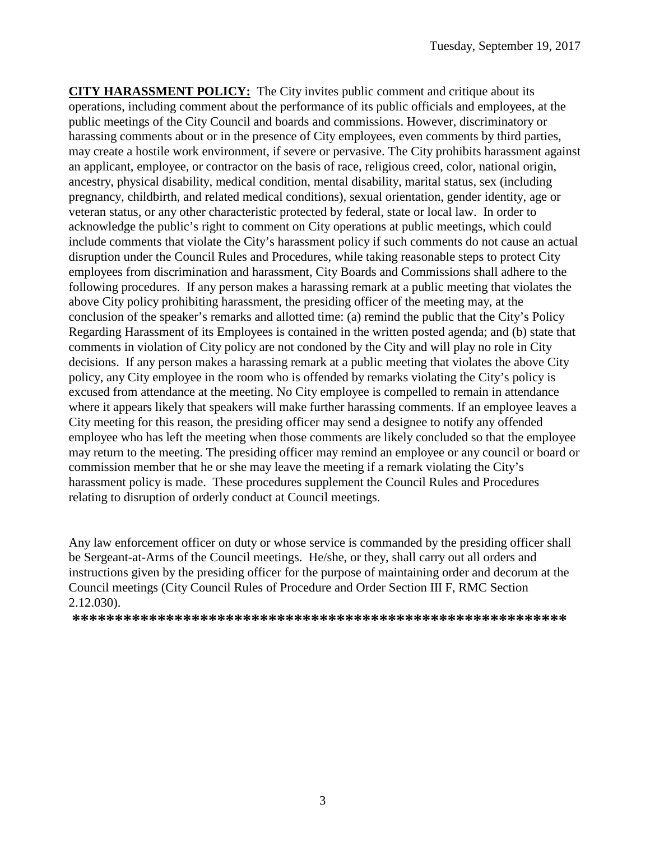**CITY HARASSMENT POLICY:** The City invites public comment and critique about its operations, including comment about the performance of its public officials and employees, at the public meetings of the City Council and boards and commissions. However, discriminatory or harassing comments about or in the presence of City employees, even comments by third parties, may create a hostile work environment, if severe or pervasive. The City prohibits harassment against an applicant, employee, or contractor on the basis of race, religious creed, color, national origin, ancestry, physical disability, medical condition, mental disability, marital status, sex (including pregnancy, childbirth, and related medical conditions), sexual orientation, gender identity, age or veteran status, or any other characteristic protected by federal, state or local law. In order to acknowledge the public's right to comment on City operations at public meetings, which could include comments that violate the City's harassment policy if such comments do not cause an actual disruption under the Council Rules and Procedures, while taking reasonable steps to protect City employees from discrimination and harassment, City Boards and Commissions shall adhere to the following procedures. If any person makes a harassing remark at a public meeting that violates the above City policy prohibiting harassment, the presiding officer of the meeting may, at the conclusion of the speaker's remarks and allotted time: (a) remind the public that the City's Policy Regarding Harassment of its Employees is contained in the written posted agenda; and (b) state that comments in violation of City policy are not condoned by the City and will play no role in City decisions. If any person makes a harassing remark at a public meeting that violates the above City policy, any City employee in the room who is offended by remarks violating the City's policy is excused from attendance at the meeting. No City employee is compelled to remain in attendance where it appears likely that speakers will make further harassing comments. If an employee leaves a City meeting for this reason, the presiding officer may send a designee to notify any offended employee who has left the meeting when those comments are likely concluded so that the employee may return to the meeting. The presiding officer may remind an employee or any council or board or commission member that he or she may leave the meeting if a remark violating the City's harassment policy is made. These procedures supplement the Council Rules and Procedures relating to disruption of orderly conduct at Council meetings.

Any law enforcement officer on duty or whose service is commanded by the presiding officer shall be Sergeant-at-Arms of the Council meetings. He/she, or they, shall carry out all orders and instructions given by the presiding officer for the purpose of maintaining order and decorum at the Council meetings (City Council Rules of Procedure and Order Section III F, RMC Section 2.12.030).

**\*\*\*\*\*\*\*\*\*\*\*\*\*\*\*\*\*\*\*\*\*\*\*\*\*\*\*\*\*\*\*\*\*\*\*\*\*\*\*\*\*\*\*\*\*\*\*\*\*\*\*\*\*\*\*\*\*\***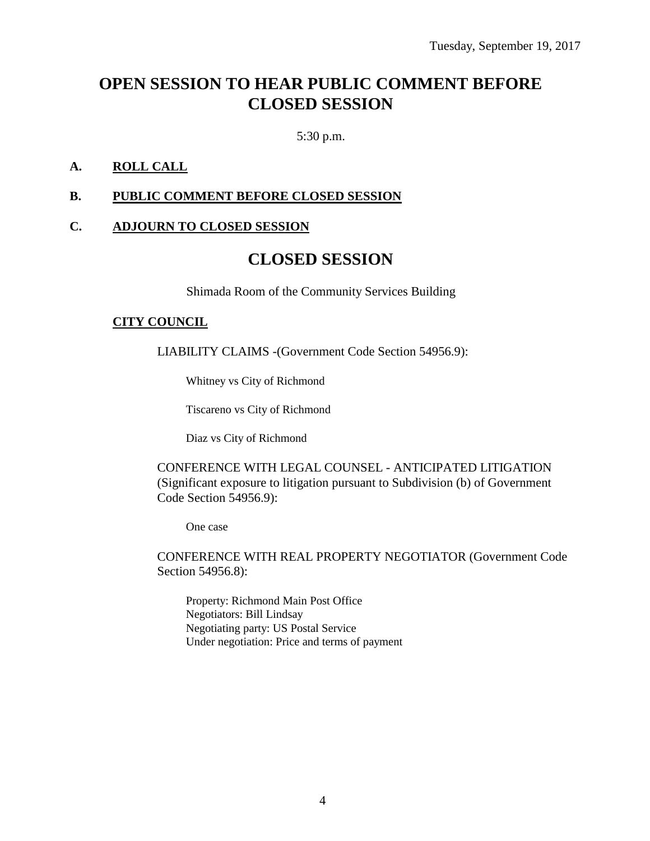## **OPEN SESSION TO HEAR PUBLIC COMMENT BEFORE CLOSED SESSION**

5:30 p.m.

### **A. ROLL CALL**

#### **B. PUBLIC COMMENT BEFORE CLOSED SESSION**

#### **C. ADJOURN TO CLOSED SESSION**

## **CLOSED SESSION**

Shimada Room of the Community Services Building

#### **CITY COUNCIL**

LIABILITY CLAIMS -(Government Code Section 54956.9):

Whitney vs City of Richmond

Tiscareno vs City of Richmond

Diaz vs City of Richmond

CONFERENCE WITH LEGAL COUNSEL - ANTICIPATED LITIGATION (Significant exposure to litigation pursuant to Subdivision (b) of Government Code Section 54956.9):

One case

CONFERENCE WITH REAL PROPERTY NEGOTIATOR (Government Code Section 54956.8):

Property: Richmond Main Post Office Negotiators: Bill Lindsay Negotiating party: US Postal Service Under negotiation: Price and terms of payment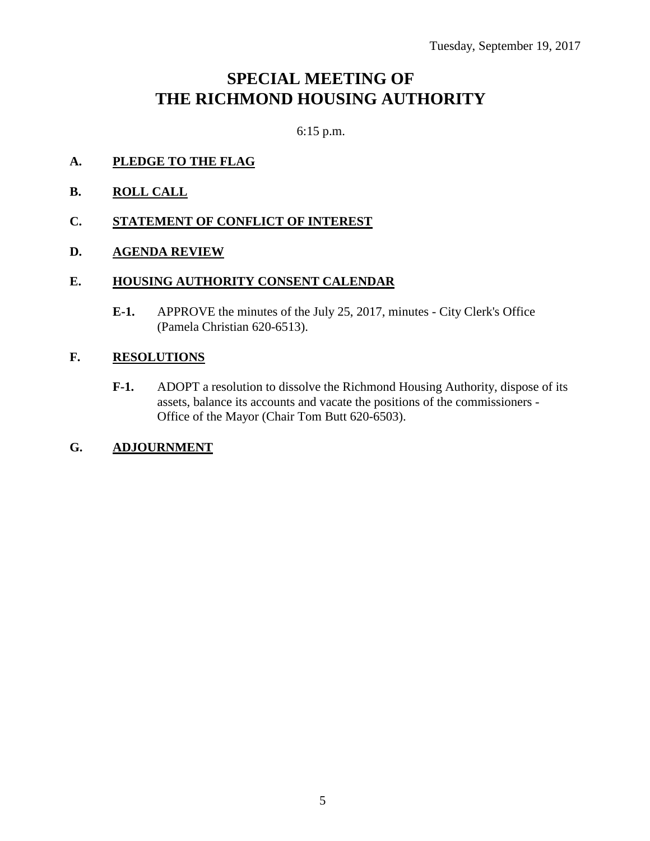## **SPECIAL MEETING OF THE RICHMOND HOUSING AUTHORITY**

6:15 p.m.

- **A. PLEDGE TO THE FLAG**
- **B. ROLL CALL**
- **C. STATEMENT OF CONFLICT OF INTEREST**
- **D. AGENDA REVIEW**

#### **E. HOUSING AUTHORITY CONSENT CALENDAR**

**E-1.** APPROVE the minutes of the July 25, 2017, minutes - City Clerk's Office (Pamela Christian 620-6513).

#### **F. RESOLUTIONS**

- **F-1.** ADOPT a resolution to dissolve the Richmond Housing Authority, dispose of its assets, balance its accounts and vacate the positions of the commissioners - Office of the Mayor (Chair Tom Butt 620-6503).
- **G. ADJOURNMENT**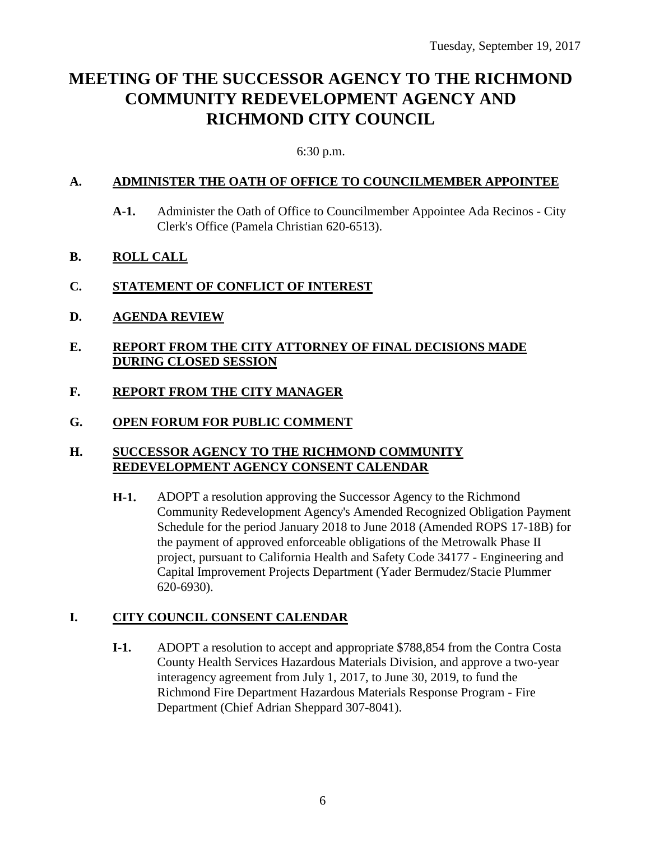## **MEETING OF THE SUCCESSOR AGENCY TO THE RICHMOND COMMUNITY REDEVELOPMENT AGENCY AND RICHMOND CITY COUNCIL**

#### 6:30 p.m.

#### **A. ADMINISTER THE OATH OF OFFICE TO COUNCILMEMBER APPOINTEE**

**A-1.** Administer the Oath of Office to Councilmember Appointee Ada Recinos - City Clerk's Office (Pamela Christian 620-6513).

### **B. ROLL CALL**

- **C. STATEMENT OF CONFLICT OF INTEREST**
- **D. AGENDA REVIEW**
- **E. REPORT FROM THE CITY ATTORNEY OF FINAL DECISIONS MADE DURING CLOSED SESSION**
- **F. REPORT FROM THE CITY MANAGER**
- **G. OPEN FORUM FOR PUBLIC COMMENT**

#### **H. SUCCESSOR AGENCY TO THE RICHMOND COMMUNITY REDEVELOPMENT AGENCY CONSENT CALENDAR**

**H-1.** ADOPT a resolution approving the Successor Agency to the Richmond Community Redevelopment Agency's Amended Recognized Obligation Payment Schedule for the period January 2018 to June 2018 (Amended ROPS 17-18B) for the payment of approved enforceable obligations of the Metrowalk Phase II project, pursuant to California Health and Safety Code 34177 - Engineering and Capital Improvement Projects Department (Yader Bermudez/Stacie Plummer 620-6930).

## **I. CITY COUNCIL CONSENT CALENDAR**

**I-1.** ADOPT a resolution to accept and appropriate \$788,854 from the Contra Costa County Health Services Hazardous Materials Division, and approve a two-year interagency agreement from July 1, 2017, to June 30, 2019, to fund the Richmond Fire Department Hazardous Materials Response Program - Fire Department (Chief Adrian Sheppard 307-8041).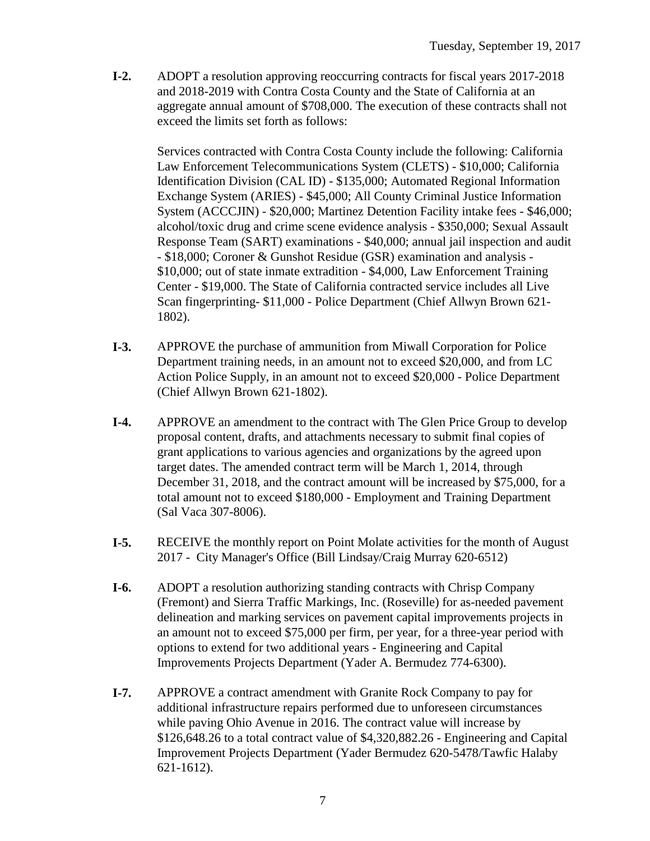**I-2.** ADOPT a resolution approving reoccurring contracts for fiscal years 2017-2018 and 2018-2019 with Contra Costa County and the State of California at an aggregate annual amount of \$708,000. The execution of these contracts shall not exceed the limits set forth as follows:

Services contracted with Contra Costa County include the following: California Law Enforcement Telecommunications System (CLETS) - \$10,000; California Identification Division (CAL ID) - \$135,000; Automated Regional Information Exchange System (ARIES) - \$45,000; All County Criminal Justice Information System (ACCCJIN) - \$20,000; Martinez Detention Facility intake fees - \$46,000; alcohol/toxic drug and crime scene evidence analysis - \$350,000; Sexual Assault Response Team (SART) examinations - \$40,000; annual jail inspection and audit - \$18,000; Coroner & Gunshot Residue (GSR) examination and analysis - \$10,000; out of state inmate extradition - \$4,000, Law Enforcement Training Center - \$19,000. The State of California contracted service includes all Live Scan fingerprinting- \$11,000 - Police Department (Chief Allwyn Brown 621- 1802).

- **I-3.** APPROVE the purchase of ammunition from Miwall Corporation for Police Department training needs, in an amount not to exceed \$20,000, and from LC Action Police Supply, in an amount not to exceed \$20,000 - Police Department (Chief Allwyn Brown 621-1802).
- **I-4.** APPROVE an amendment to the contract with The Glen Price Group to develop proposal content, drafts, and attachments necessary to submit final copies of grant applications to various agencies and organizations by the agreed upon target dates. The amended contract term will be March 1, 2014, through December 31, 2018, and the contract amount will be increased by \$75,000, for a total amount not to exceed \$180,000 - Employment and Training Department (Sal Vaca 307-8006).
- **I-5.** RECEIVE the monthly report on Point Molate activities for the month of August 2017 - City Manager's Office (Bill Lindsay/Craig Murray 620-6512)
- **I-6.** ADOPT a resolution authorizing standing contracts with Chrisp Company (Fremont) and Sierra Traffic Markings, Inc. (Roseville) for as-needed pavement delineation and marking services on pavement capital improvements projects in an amount not to exceed \$75,000 per firm, per year, for a three-year period with options to extend for two additional years - Engineering and Capital Improvements Projects Department (Yader A. Bermudez 774-6300).
- **I-7.** APPROVE a contract amendment with Granite Rock Company to pay for additional infrastructure repairs performed due to unforeseen circumstances while paving Ohio Avenue in 2016. The contract value will increase by \$126,648.26 to a total contract value of \$4,320,882.26 - Engineering and Capital Improvement Projects Department (Yader Bermudez 620-5478/Tawfic Halaby 621-1612).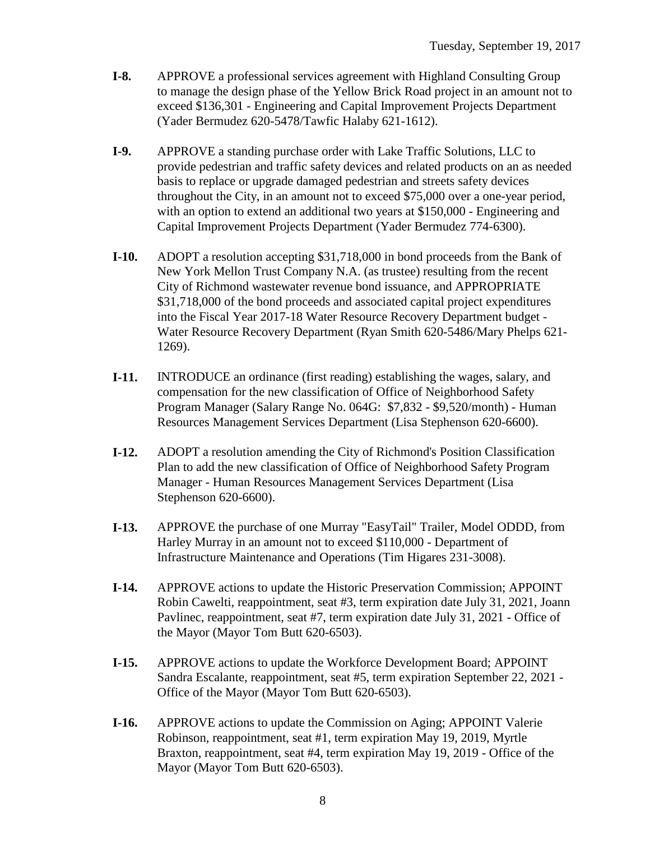- **I-8.** APPROVE a professional services agreement with Highland Consulting Group to manage the design phase of the Yellow Brick Road project in an amount not to exceed \$136,301 - Engineering and Capital Improvement Projects Department (Yader Bermudez 620-5478/Tawfic Halaby 621-1612).
- **I-9.** APPROVE a standing purchase order with Lake Traffic Solutions, LLC to provide pedestrian and traffic safety devices and related products on an as needed basis to replace or upgrade damaged pedestrian and streets safety devices throughout the City, in an amount not to exceed \$75,000 over a one-year period, with an option to extend an additional two years at \$150,000 - Engineering and Capital Improvement Projects Department (Yader Bermudez 774-6300).
- **I-10.** ADOPT a resolution accepting \$31,718,000 in bond proceeds from the Bank of New York Mellon Trust Company N.A. (as trustee) resulting from the recent City of Richmond wastewater revenue bond issuance, and APPROPRIATE \$31,718,000 of the bond proceeds and associated capital project expenditures into the Fiscal Year 2017-18 Water Resource Recovery Department budget - Water Resource Recovery Department (Ryan Smith 620-5486/Mary Phelps 621- 1269).
- **I-11.** INTRODUCE an ordinance (first reading) establishing the wages, salary, and compensation for the new classification of Office of Neighborhood Safety Program Manager (Salary Range No. 064G: \$7,832 - \$9,520/month) - Human Resources Management Services Department (Lisa Stephenson 620-6600).
- **I-12.** ADOPT a resolution amending the City of Richmond's Position Classification Plan to add the new classification of Office of Neighborhood Safety Program Manager - Human Resources Management Services Department (Lisa Stephenson 620-6600).
- **I-13.** APPROVE the purchase of one Murray "EasyTail" Trailer, Model ODDD, from Harley Murray in an amount not to exceed \$110,000 - Department of Infrastructure Maintenance and Operations (Tim Higares 231-3008).
- **I-14.** APPROVE actions to update the Historic Preservation Commission; APPOINT Robin Cawelti, reappointment, seat #3, term expiration date July 31, 2021, Joann Pavlinec, reappointment, seat #7, term expiration date July 31, 2021 - Office of the Mayor (Mayor Tom Butt 620-6503).
- **I-15.** APPROVE actions to update the Workforce Development Board; APPOINT Sandra Escalante, reappointment, seat #5, term expiration September 22, 2021 - Office of the Mayor (Mayor Tom Butt 620-6503).
- **I-16.** APPROVE actions to update the Commission on Aging; APPOINT Valerie Robinson, reappointment, seat #1, term expiration May 19, 2019, Myrtle Braxton, reappointment, seat #4, term expiration May 19, 2019 - Office of the Mayor (Mayor Tom Butt 620-6503).